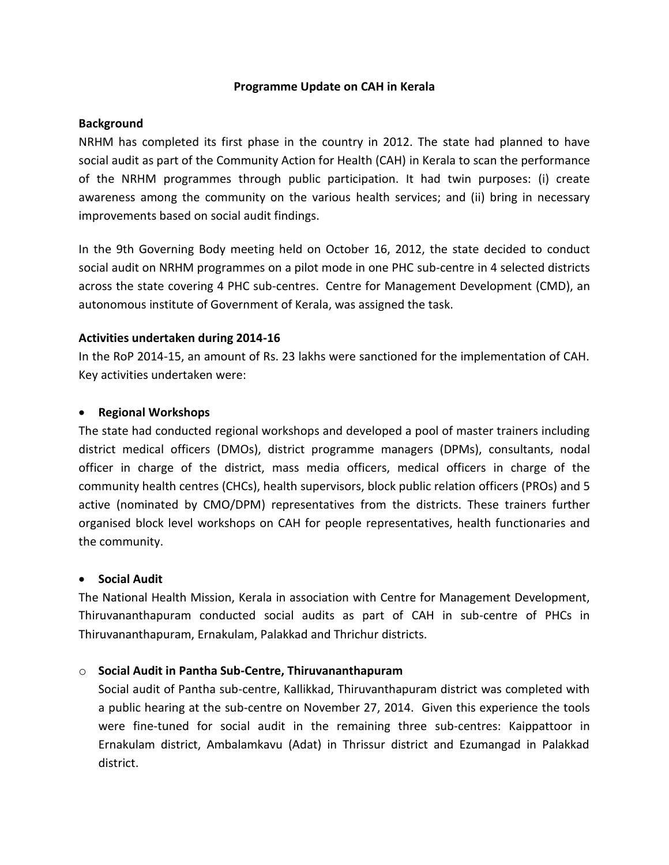## **Programme Update on CAH in Kerala**

## **Background**

NRHM has completed its first phase in the country in 2012. The state had planned to have social audit as part of the Community Action for Health (CAH) in Kerala to scan the performance of the NRHM programmes through public participation. It had twin purposes: (i) create awareness among the community on the various health services; and (ii) bring in necessary improvements based on social audit findings.

In the 9th Governing Body meeting held on October 16, 2012, the state decided to conduct social audit on NRHM programmes on a pilot mode in one PHC sub-centre in 4 selected districts across the state covering 4 PHC sub-centres. Centre for Management Development (CMD), an autonomous institute of Government of Kerala, was assigned the task.

## **Activities undertaken during 2014-16**

In the RoP 2014-15, an amount of Rs. 23 lakhs were sanctioned for the implementation of CAH. Key activities undertaken were:

## **Regional Workshops**

The state had conducted regional workshops and developed a pool of master trainers including district medical officers (DMOs), district programme managers (DPMs), consultants, nodal officer in charge of the district, mass media officers, medical officers in charge of the community health centres (CHCs), health supervisors, block public relation officers (PROs) and 5 active (nominated by CMO/DPM) representatives from the districts. These trainers further organised block level workshops on CAH for people representatives, health functionaries and the community.

# **Social Audit**

The National Health Mission, Kerala in association with Centre for Management Development, Thiruvananthapuram conducted social audits as part of CAH in sub-centre of PHCs in Thiruvananthapuram, Ernakulam, Palakkad and Thrichur districts.

# o **Social Audit in Pantha Sub-Centre, Thiruvananthapuram**

Social audit of Pantha sub-centre, Kallikkad, Thiruvanthapuram district was completed with a public hearing at the sub-centre on November 27, 2014. Given this experience the tools were fine-tuned for social audit in the remaining three sub-centres: Kaippattoor in Ernakulam district, Ambalamkavu (Adat) in Thrissur district and Ezumangad in Palakkad district.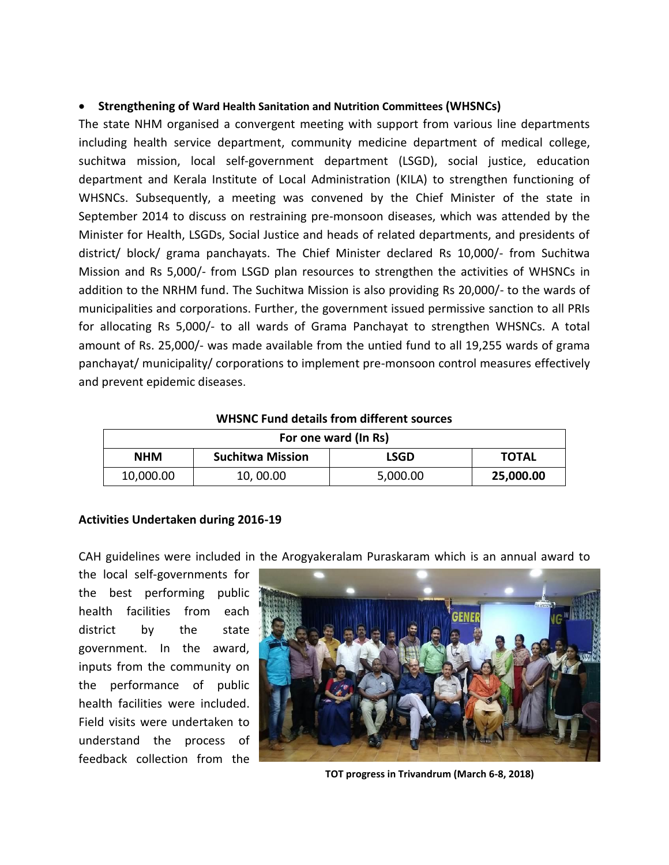## **Strengthening of Ward Health Sanitation and Nutrition Committees (WHSNCs)**

The state NHM organised a convergent meeting with support from various line departments including health service department, community medicine department of medical college, suchitwa mission, local self-government department (LSGD), social justice, education department and Kerala Institute of Local Administration (KILA) to strengthen functioning of WHSNCs. Subsequently, a meeting was convened by the Chief Minister of the state in September 2014 to discuss on restraining pre-monsoon diseases, which was attended by the Minister for Health, LSGDs, Social Justice and heads of related departments, and presidents of district/ block/ grama panchayats. The Chief Minister declared Rs 10,000/- from Suchitwa Mission and Rs 5,000/- from LSGD plan resources to strengthen the activities of WHSNCs in addition to the NRHM fund. The Suchitwa Mission is also providing Rs 20,000/- to the wards of municipalities and corporations. Further, the government issued permissive sanction to all PRIs for allocating Rs 5,000/- to all wards of Grama Panchayat to strengthen WHSNCs. A total amount of Rs. 25,000/- was made available from the untied fund to all 19,255 wards of grama panchayat/ municipality/ corporations to implement pre-monsoon control measures effectively and prevent epidemic diseases.

| For one ward (In Rs) |                         |             |              |  |  |  |
|----------------------|-------------------------|-------------|--------------|--|--|--|
| <b>NHM</b>           | <b>Suchitwa Mission</b> | <b>LSGD</b> | <b>TOTAL</b> |  |  |  |
| 10,000.00            | 10,00.00                | 5,000.00    | 25,000.00    |  |  |  |

#### **WHSNC Fund details from different sources**

#### **Activities Undertaken during 2016-19**

CAH guidelines were included in the Arogyakeralam Puraskaram which is an annual award to

the local self-governments for the best performing public health facilities from each district by the state government. In the award, inputs from the community on the performance of public health facilities were included. Field visits were undertaken to understand the process of feedback collection from the



**TOT progress in Trivandrum (March 6-8, 2018)**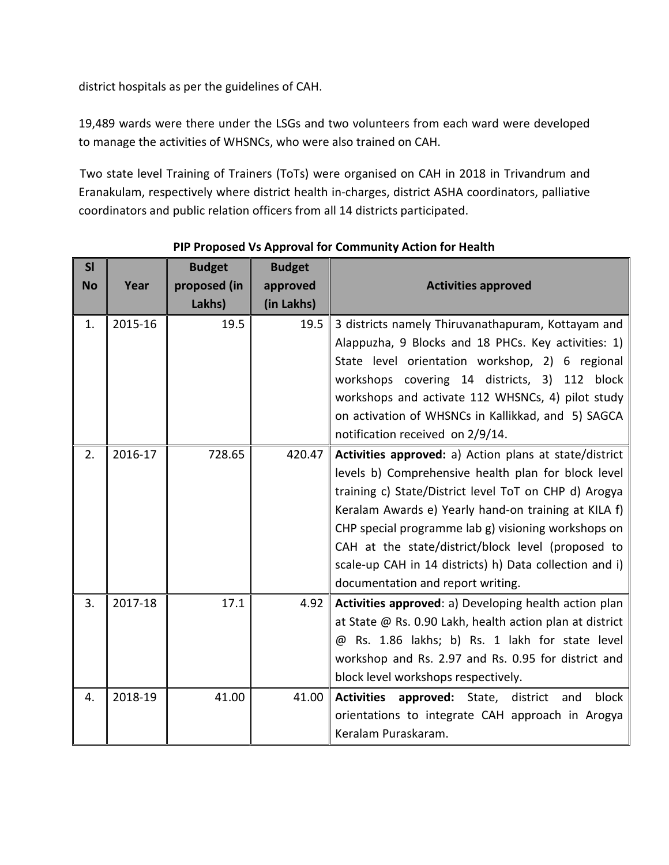district hospitals as per the guidelines of CAH.

19,489 wards were there under the LSGs and two volunteers from each ward were developed to manage the activities of WHSNCs, who were also trained on CAH.

 Two state level Training of Trainers (ToTs) were organised on CAH in 2018 in Trivandrum and Eranakulam, respectively where district health in-charges, district ASHA coordinators, palliative coordinators and public relation officers from all 14 districts participated.

|         | <b>Budget</b> | <b>Budget</b>          |                                                                   |
|---------|---------------|------------------------|-------------------------------------------------------------------|
| Year    |               |                        | <b>Activities approved</b>                                        |
|         |               |                        |                                                                   |
|         | 19.5          | 19.5                   | 3 districts namely Thiruvanathapuram, Kottayam and                |
|         |               |                        | Alappuzha, 9 Blocks and 18 PHCs. Key activities: 1)               |
|         |               |                        | State level orientation workshop, 2) 6 regional                   |
|         |               |                        | workshops covering 14 districts, 3) 112 block                     |
|         |               |                        | workshops and activate 112 WHSNCs, 4) pilot study                 |
|         |               |                        | on activation of WHSNCs in Kallikkad, and 5) SAGCA                |
|         |               |                        | notification received on 2/9/14.                                  |
| 2016-17 | 728.65        | 420.47                 | Activities approved: a) Action plans at state/district            |
|         |               |                        | levels b) Comprehensive health plan for block level               |
|         |               |                        | training c) State/District level ToT on CHP d) Arogya             |
|         |               |                        | Keralam Awards e) Yearly hand-on training at KILA f)              |
|         |               |                        | CHP special programme lab g) visioning workshops on               |
|         |               |                        | CAH at the state/district/block level (proposed to                |
|         |               |                        | scale-up CAH in 14 districts) h) Data collection and i)           |
|         |               |                        | documentation and report writing.                                 |
| 2017-18 | 17.1          | 4.92                   | Activities approved: a) Developing health action plan             |
|         |               |                        | at State @ Rs. 0.90 Lakh, health action plan at district          |
|         |               |                        | @ Rs. 1.86 lakhs; b) Rs. 1 lakh for state level                   |
|         |               |                        | workshop and Rs. 2.97 and Rs. 0.95 for district and               |
|         |               |                        | block level workshops respectively.                               |
| 2018-19 | 41.00         | 41.00                  | <b>Activities</b><br>block<br>approved: State,<br>district<br>and |
|         |               |                        | orientations to integrate CAH approach in Arogya                  |
|         |               |                        | Keralam Puraskaram.                                               |
|         | 2015-16       | proposed (in<br>Lakhs) | approved<br>(in Lakhs)                                            |

**PIP Proposed Vs Approval for Community Action for Health**